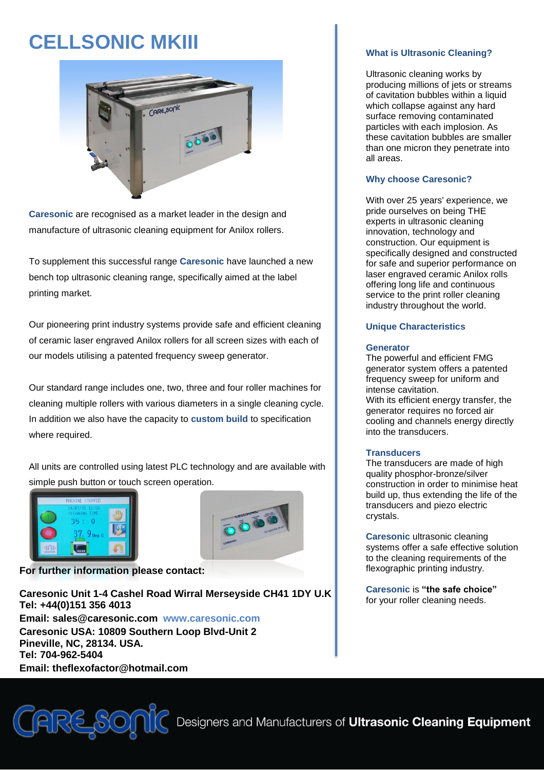# **CELLSONIC MKIII**



**Caresonic** are recognised as a market leader in the design and manufacture of ultrasonic cleaning equipment for Anilox rollers.

To supplement this successful range **Caresonic** have launched a new bench top ultrasonic cleaning range, specifically aimed at the label printing market.

Our pioneering print industry systems provide safe and efficient cleaning of ceramic laser engraved Anilox rollers for all screen sizes with each of our models utilising a patented frequency sweep generator.

Our standard range includes one, two, three and four roller machines for cleaning multiple rollers with various diameters in a single cleaning cycle. In addition we also have the capacity to **custom build** to specification where required.

All units are controlled using latest PLC technology and are available with simple push button or touch screen operation.





**For further information please contact:**

**Caresonic Unit 1-4 Cashel Road Wirral Merseyside CH41 1DY U.K Tel: +44(0)151 356 4013 Email: sales@caresonic.com www.caresonic.com Caresonic USA: 10809 Southern Loop Blvd-Unit 2 Pineville, NC, 28134. USA. Tel: 704-962-5404 Email: theflexofactor@hotmail.com**



### **What is Ultrasonic Cleaning?**

Ultrasonic cleaning works by producing millions of jets or streams of cavitation bubbles within a liquid which collapse against any hard surface removing contaminated particles with each implosion. As these cavitation bubbles are smaller than one micron they penetrate into all areas.

## **Why choose Caresonic?**

With over 25 years' experience, we pride ourselves on being THE experts in ultrasonic cleaning innovation, technology and construction. Our equipment is specifically designed and constructed for safe and superior performance on laser engraved ceramic Anilox rolls offering long life and continuous service to the print roller cleaning industry throughout the world.

### **Unique Characteristics**

#### **Generator**

The powerful and efficient FMG generator system offers a patented frequency sweep for uniform and intense cavitation. With its efficient energy transfer, the generator requires no forced air

cooling and channels energy directly into the transducers.

#### **Transducers**

The transducers are made of high quality phosphor-bronze/silver construction in order to minimise heat build up, thus extending the life of the transducers and piezo electric crystals.

**Caresonic** ultrasonic cleaning systems offer a safe effective solution to the cleaning requirements of the flexographic printing industry.

**Caresonic** is **"the safe choice"** for your roller cleaning needs.

Designers and Manufacturers of Ultrasonic Cleaning Equipment